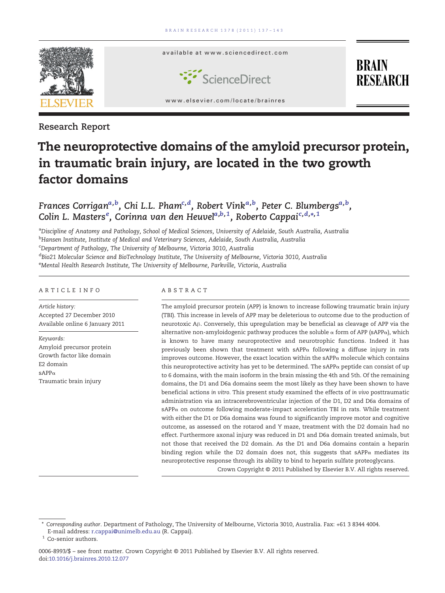

Research Report

# The neuroprotective domains of the amyloid precursor protein, in traumatic brain injury, are located in the two growth factor domains

## Frances Corrigan<sup>a,b</sup>, Chi L.L. Pham<sup>c,d</sup>, Robert Vink<sup>a,b</sup>, Peter C. Blumbergs<sup>a,b</sup>, Colin L. Masters<sup>e</sup>, Corinna van den Heuvel<sup>a,b,1</sup>, Roberto Cappai<sup>c,d,</sup>\*,<sup>1</sup>

<sup>a</sup>Discipline of Anatomy and Pathology, School of Medical Sciences, University of Adelaide, South Australia, Australia <sup>b</sup>Hansen Institute, Institute of Medical and Veterinary Sciences, Adelaide, South Australia, Australia

<sup>c</sup>Department of Pathology, The University of Melbourne, Victoria 3010, Australia

<sup>d</sup>Bio21 Molecular Science and BioTechnology Institute, The University of Melbourne, Victoria 3010, Australia <sup>e</sup>Mental Health Research Institute, The University of Melbourne, Parkville, Victoria, Australia

#### ARTICLE INFO ABSTRACT

Article history: Accepted 27 December 2010 Available online 6 January 2011

Keywords: Amyloid precursor protein Growth factor like domain E2 domain  $\beta$ APP $\alpha$ Traumatic brain injury

The amyloid precursor protein (APP) is known to increase following traumatic brain injury (TBI). This increase in levels of APP may be deleterious to outcome due to the production of neurotoxic Aβ. Conversely, this upregulation may be beneficial as cleavage of APP via the alternative non-amyloidogenic pathway produces the soluble  $\alpha$  form of APP (sAPP $\alpha$ ), which is known to have many neuroprotective and neurotrophic functions. Indeed it has previously been shown that treatment with sAPPα following a diffuse injury in rats improves outcome. However, the exact location within the  $sAPP\alpha$  molecule which contains this neuroprotective activity has yet to be determined. The  $sAPP\alpha$  peptide can consist of up to 6 domains, with the main isoform in the brain missing the 4th and 5th. Of the remaining domains, the D1 and D6a domains seem the most likely as they have been shown to have beneficial actions in vitro. This present study examined the effects of in vivo posttraumatic administration via an intracerebroventricular injection of the D1, D2 and D6a domains of sAPPα on outcome following moderate-impact acceleration TBI in rats. While treatment with either the D1 or D6a domains was found to significantly improve motor and cognitive outcome, as assessed on the rotarod and Y maze, treatment with the D2 domain had no effect. Furthermore axonal injury was reduced in D1 and D6a domain treated animals, but not those that received the D2 domain. As the D1 and D6a domains contain a heparin binding region while the D2 domain does not, this suggests that  $sAPP\alpha$  mediates its neuroprotective response through its ability to bind to heparin sulfate proteoglycans.

Crown Copyright © 2011 Published by Elsevier B.V. All rights reserved.

<sup>⁎</sup> Corresponding author. Department of Pathology, The University of Melbourne, Victoria 3010, Australia. Fax: +61 3 8344 4004. E-mail address: [r.cappai@unimelb.edu.au](mailto:r.cappai@unimelb.edu.au) (R. Cappai).

<sup>&</sup>lt;sup>1</sup> Co-senior authors.

<sup>0006-8993/\$</sup> – see front matter. Crown Copyright © 2011 Published by Elsevier B.V. All rights reserved. doi[:10.1016/j.brainres.2010.12.077](http://dx.doi.org/10.1016/j.brainres.2010.12.077)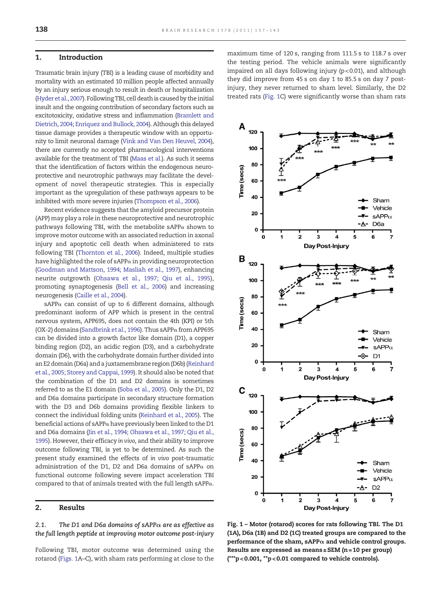#### <span id="page-1-0"></span>1. Introduction

Traumatic brain injury (TBI) is a leading cause of morbidity and mortality with an estimated 10 million people affected annually by an injury serious enough to result in death or hospitalization ([Hyder et al., 2007\)](#page-5-0). Following TBI, cell death is caused by the initial insult and the ongoing contribution of secondary factors such as excitotoxicity, oxidative stress and inflammation [\(Bramlett and](#page-5-0) [Dietrich, 2004; Enriquez and Bullock, 2004](#page-5-0)). Although this delayed tissue damage provides a therapeutic window with an opportunity to limit neuronal damage [\(Vink and Van Den Heuvel, 2004\)](#page-6-0), there are currently no accepted pharmacological interventions available for the treatment of TBI [\(Maas et al.](#page-5-0)). As such it seems that the identification of factors within the endogenous neuroprotective and neurotrophic pathways may facilitate the development of novel therapeutic strategies. This is especially important as the upregulation of these pathways appears to be inhibited with more severe injuries [\(Thompson et al., 2006\)](#page-6-0).

Recent evidence suggests that the amyloid precursor protein (APP) may play a role in these neuroprotective and neurotrophic pathways following TBI, with the metabolite sAPP $\alpha$  shown to improve motor outcome with an associated reduction in axonal injury and apoptotic cell death when administered to rats following TBI [\(Thornton et al., 2006\)](#page-6-0). Indeed, multiple studies have highlighted the role of sAPPα in providing neuroprotection ([Goodman and Mattson, 1994; Masliah et al., 1997\)](#page-5-0), enhancing neurite outgrowth [\(Ohsawa et al., 1997; Qiu et al., 1995\)](#page-5-0), promoting synaptogenesis ([Bell et al., 2006\)](#page-5-0) and increasing neurogenesis ([Caille et al., 2004\)](#page-5-0).

sAPP $\alpha$  can consist of up to 6 different domains, although predominant isoform of APP which is present in the central nervous system, APP695, does not contain the 4th (KPI) or 5th (OX-2) domains [\(Sandbrink et al., 1996](#page-6-0)). Thus sAPPα from APP695 can be divided into a growth factor like domain (D1), a copper binding region (D2), an acidic region (D3), and a carbohydrate domain (D6), with the carbohydrate domain further divided into an E2 domain (D6a) and a juxtamembrane region (D6b) ([Reinhard](#page-5-0) [et al., 2005; Storey and Cappai, 1999\)](#page-5-0). It should also be noted that the combination of the D1 and D2 domains is sometimes referred to as the E1 domain ([Soba et al., 2005](#page-6-0)). Only the D1, D2 and D6a domains participate in secondary structure formation with the D3 and D6b domains providing flexible linkers to connect the individual folding units [\(Reinhard et al., 2005\)](#page-5-0). The beneficial actions of sAPPα have previously been linked to the D1 and D6a domains [\(Jin et al., 1994; Ohsawa et al., 1997; Qiu et al.,](#page-5-0) [1995](#page-5-0)). However, their efficacy in vivo, and their ability to improve outcome following TBI, is yet to be determined. As such the present study examined the effects of in vivo post-traumatic administration of the D1, D2 and D6a domains of sAPP $\alpha$  on functional outcome following severe impact acceleration TBI compared to that of animals treated with the full length sAPPα.

#### 2. Results

2.1. The D1 and D6a domains of sAPP $\alpha$  are as effective as the full length peptide at improving motor outcome post-injury

Following TBI, motor outcome was determined using the rotarod (Figs. 1A–C), with sham rats performing at close to the maximum time of 120 s, ranging from 111.5 s to 118.7 s over the testing period. The vehicle animals were significantly impaired on all days following injury (p< 0.01), and although they did improve from 45 s on day 1 to 85.5 s on day 7 postinjury, they never returned to sham level. Similarly, the D2 treated rats (Fig. 1C) were significantly worse than sham rats



Fig. 1 – Motor (rotarod) scores for rats following TBI. The D1 (1A), D6a (1B) and D2 (1C) treated groups are compared to the performance of the sham, sAPP $\alpha$  and vehicle control groups. Results are expressed as means $\pm$ SEM (n=10 per group)  $(**p<0.001, **p<0.01$  compared to vehicle controls).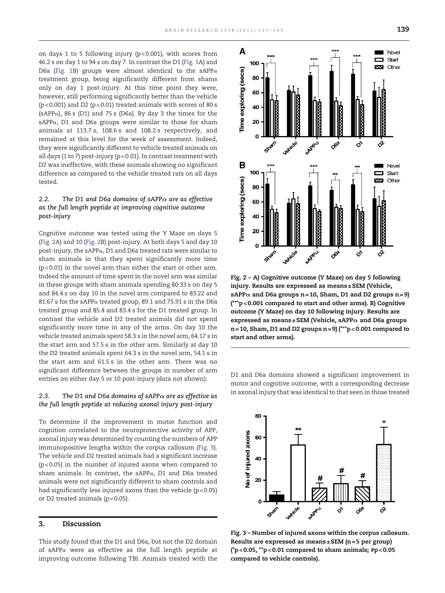on days 1 to 5 following injury (p< 0.001), with scores from 46.2 s on day 1 to 94 s on day 7. In contrast the D1 [\(Fig. 1A](#page-1-0)) and D6a [\(Fig. 1](#page-1-0)B) groups were almost identical to the sAPP $\alpha$ treatment group, being significantly different from shams only on day 1 post-injury. At this time point they were, however, still performing significantly better than the vehicle ( $p$ <0.001) and D2 ( $p$ <0.01) treated animals with scores of 80 s (sAPPα), 86 s (D1) and 75 s (D6a). By day 3 the times for the sAPP $\alpha$ , D1 and D6a groups were similar to those for sham animals at 113.7 s, 108.6 s and 108.2 s respectively, and remained at this level for the week of assessment. Indeed, they were significantly different to vehicle treated animals on all days (1 to 7) post-injury (p < 0.01). In contrast treatment with D2 was ineffective, with these animals showing no significant difference as compared to the vehicle treated rats on all days tested.

### 2.2. The D1 and D6a domains of sAPP $\alpha$  are as effective as the full length peptide at improving cognitive outcome post-injury

Cognitive outcome was tested using the Y Maze on days 5 (Fig. 2A) and 10 (Fig. 2B) post-injury. At both days 5 and day 10 post-injury, the sAPPα, D1 and D6a treated rats were similar to sham animals in that they spent significantly more time (p< 0.01) in the novel arm than either the start or other arm. Indeed the amount of time spent in the novel arm was similar in these groups with sham animals spending 80.33 s on day 5 and 84.4 s on day 10 in the novel arm compared to 83.22 and 81.67 s for the sAPPα treated group, 89.1 and 75.91 s in the D6a treated group and 85.4 and 83.4 s for the D1 treated group. In contrast the vehicle and D2 treated animals did not spend significantly more time in any of the arms. On day 10 the vehicle treated animals spent 58.3 s in the novel arm, 64.17 s in the start arm and 57.5 s in the other arm. Similarly at day 10 the D2 treated animals spent 64.3 s in the novel arm, 54.1 s in the start arm and 61.5 s in the other arm. There was no significant difference between the groups in number of arm entries on either day 5 or 10 post-injury (data not shown).

#### 2.3. The D1 and D6a domains of sAPP $\alpha$  are as effective as the full length peptide at reducing axonal injury post-injury

To determine if the improvement in motor function and cognition correlated to the neuroprotective activity of APP, axonal injury was determined by counting the numbers of APP immunopositive lengths within the corpus callosum (Fig. 3). The vehicle and D2 treated animals had a significant increase (p< 0.05) in the number of injured axons when compared to sham animals. In contrast, the sAPPα, D1 and D6a treated animals were not significantly different to sham controls and had significantly less injured axons than the vehicle  $(p<0.05)$ or D2 treated animals (p< 0.05).

#### 3. Discussion

This study found that the D1 and D6a, but not the D2 domain of sAPPα were as effective as the full length peptide at improving outcome following TBI. Animals treated with the



Fig. 2 – A) Cognitive outcome (Y Maze) on day 5 following injury. Results are expressed as means±SEM (Vehicle, sAPP $\alpha$  and D6a groups n=10, Sham, D1 and D2 groups n=9) (\*\*\*p< 0.001 compared to start and other arms). B) Cognitive outcome (Y Maze) on day 10 following injury. Results are expressed as means $\pm$ SEM (Vehicle, sAPP $\alpha$  and D6a groups n= 10, Sham, D1 and D2 groups n = 9) (\*\*\*p< 0.001 compared to start and other arms).

D1 and D6a domains showed a significant improvement in motor and cognitive outcome, with a corresponding decrease in axonal injury that was identical to that seen in those treated



Fig. 3 – Number of injured axons within the corpus callosum. Results are expressed as means $\pm$ SEM (n = 5 per group) ( $p$  < 0.05, \*\*p < 0.01 compared to sham animals;  $\#p$  < 0.05 compared to vehicle controls).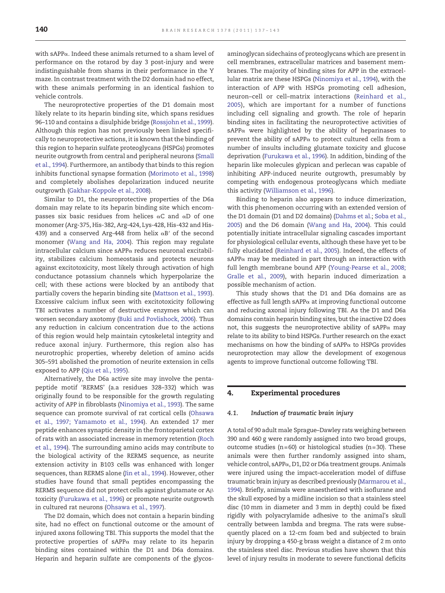with sAPP $\alpha$ . Indeed these animals returned to a sham level of performance on the rotarod by day 3 post-injury and were indistinguishable from shams in their performance in the Y maze. In contrast treatment with the D2 domain had no effect, with these animals performing in an identical fashion to vehicle controls.

The neuroprotective properties of the D1 domain most likely relate to its heparin binding site, which spans residues 96–110 and contains a disulphide bridge [\(Rossjohn et al., 1999\)](#page-6-0). Although this region has not previously been linked specifically to neuroprotective actions, it is known that the binding of this region to heparin sulfate proteoglycans (HSPGs) promotes neurite outgrowth from central and peripheral neurons [\(Small](#page-6-0) [et al., 1994](#page-6-0)). Furthermore, an antibody that binds to this region inhibits functional synapse formation [\(Morimoto et al., 1998\)](#page-5-0) and completely abolishes depolarization induced neurite outgrowth ([Gakhar-Koppole et al., 2008](#page-5-0)).

Similar to D1, the neuroprotective properties of the D6a domain may relate to its heparin binding site which encompasses six basic residues from helices αC and αD of one monomer (Arg-375, His-382, Arg-424, Lys-428, His-432 and His-439) and a conserved Arg-448 from helix  $\alpha$ B' of the second monomer ([Wang and Ha, 2004\)](#page-6-0). This region may regulate intracellular calcium since sAPPα reduces neuronal excitability, stabilizes calcium homeostasis and protects neurons against excitotoxicity, most likely through activation of high conductance potassium channels which hyperpolarize the cell; with these actions were blocked by an antibody that partially covers the heparin binding site ([Mattson et al., 1993\)](#page-5-0). Excessive calcium influx seen with excitotoxicity following TBI activates a number of destructive enzymes which can worsen secondary axotomy [\(Buki and Povlishock, 2006\)](#page-5-0). Thus any reduction in calcium concentration due to the actions of this region would help maintain cytoskeletal integrity and reduce axonal injury. Furthermore, this region also has neurotrophic properties, whereby deletion of amino acids 305–591 abolished the promotion of neurite extension in cells exposed to APP ([Qiu et al., 1995\)](#page-5-0).

Alternatively, the D6a active site may involve the pentapeptide motif 'RERMS' (a.a residues 328–332) which was originally found to be responsible for the growth regulating activity of APP in fibroblasts [\(Ninomiya et al., 1993\)](#page-5-0). The same sequence can promote survival of rat cortical cells [\(Ohsawa](#page-5-0) [et al., 1997; Yamamoto et al., 1994](#page-5-0)). An extended 17 mer peptide enhances synaptic density in the frontoparietal cortex of rats with an associated increase in memory retention [\(Roch](#page-6-0) [et al., 1994](#page-6-0)). The surrounding amino acids may contribute to the biological activity of the RERMS sequence, as neurite extension activity in B103 cells was enhanced with longer sequences, than RERMS alone [\(Jin et al., 1994](#page-5-0)). However, other studies have found that small peptides encompassing the RERMS sequence did not protect cells against glutamate or Aβ toxicity [\(Furukawa et al., 1996\)](#page-5-0) or promote neurite outgrowth in cultured rat neurons ([Ohsawa et al., 1997](#page-5-0)).

The D2 domain, which does not contain a heparin binding site, had no effect on functional outcome or the amount of injured axons following TBI. This supports the model that the protective properties of sAPPα may relate to its heparin binding sites contained within the D1 and D6a domains. Heparin and heparin sulfate are components of the glycosaminoglycan sidechains of proteoglycans which are present in cell membranes, extracellular matrices and basement membranes. The majority of binding sites for APP in the extracellular matrix are these HSPGs [\(Ninomiya et al., 1994](#page-5-0)), with the interaction of APP with HSPGs promoting cell adhesion, neuron–cell or cell–matrix interactions ([Reinhard et al.,](#page-5-0) [2005\)](#page-5-0), which are important for a number of functions including cell signaling and growth. The role of heparin binding sites in facilitating the neuroprotective activities of sAPPα were highlighted by the ability of heparinases to prevent the ability of sAPPα to protect cultured cells from a number of insults including glutamate toxicity and glucose deprivation ([Furukawa et al., 1996](#page-5-0)). In addition, binding of the heparin like molecules glypican and perlecan was capable of inhibiting APP-induced neurite outgrowth, presumably by competing with endogenous proteoglycans which mediate this activity [\(Williamson et al., 1996\)](#page-6-0).

Binding to heparin also appears to induce dimerization, with this phenomenon occurring with an extended version of the D1 domain (D1 and D2 domains) ([Dahms et al.;](#page-5-0) [Soba et al.,](#page-6-0) [2005\)](#page-6-0) and the D6 domain ([Wang and Ha, 2004\)](#page-6-0). This could potentially initiate intracellular signaling cascades important for physiological cellular events, although these have yet to be fully elucidated ([Reinhard et al., 2005\)](#page-5-0). Indeed, the effects of sAPP $\alpha$  may be mediated in part through an interaction with full length membrane bound APP [\(Young-Pearse et al., 2008;](#page-6-0) [Gralle et al., 2009](#page-6-0)), with heparin induced dimerization a possible mechanism of action.

This study shows that the D1 and D6a domains are as effective as full length sAPP $\alpha$  at improving functional outcome and reducing axonal injury following TBI. As the D1 and D6a domains contain heparin binding sites, but the inactive D2 does not, this suggests the neuroprotective ability of sAPPα may relate to its ability to bind HSPGs. Further research on the exact mechanisms on how the binding of sAPPα to HSPGs provides neuroprotection may allow the development of exogenous agents to improve functional outcome following TBI.

#### 4. Experimental procedures

#### 4.1. Induction of traumatic brain injury

A total of 90 adult male Sprague–Dawley rats weighing between 390 and 460 g were randomly assigned into two broad groups, outcome studies ( $n=60$ ) or histological studies ( $n=30$ ). These animals were then further randomly assigned into sham, vehicle control, sAPPα, D1, D2 or D6a treatment groups. Animals were injured using the impact–acceleration model of diffuse traumatic brain injury as described previously [\(Marmarou et al.,](#page-5-0) [1994\)](#page-5-0). Briefly, animals were anaesthetized with isoflurane and the skull exposed by a midline incision so that a stainless steel disc (10 mm in diameter and 3 mm in depth) could be fixed rigidly with polyacrylamide adhesive to the animal's skull centrally between lambda and bregma. The rats were subsequently placed on a 12-cm foam bed and subjected to brain injury by dropping a 450-g brass weight a distance of 2 m onto the stainless steel disc. Previous studies have shown that this level of injury results in moderate to severe functional deficits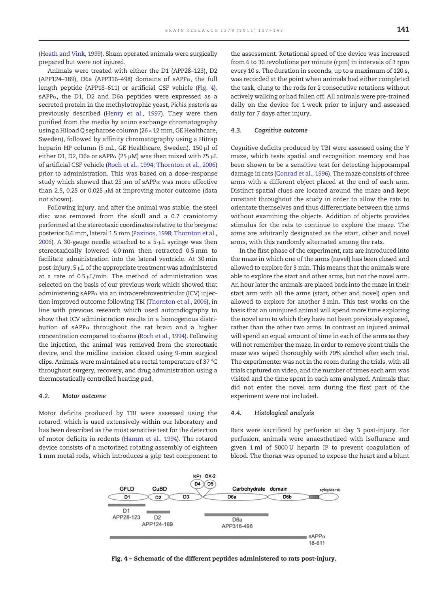[\(Heath and Vink, 1999\)](#page-5-0). Sham operated animals were surgically prepared but were not injured.

Animals were treated with either the D1 (APP28–123), D2 (APP124–189), D6a (APP316–498) domains of sAPP $\alpha$ , the full length peptide (APP18–611) or artificial CSF vehicle (Fig. 4). sAPP $\alpha$ , the D1, D2 and D6a peptides were expressed as a secreted protein in the methylotrophic yeast, Pichia pastoris as previously described ([Henry et al., 1997\)](#page-5-0). They were then purified from the media by anion exchange chromatography using a Hiload Q sepharose column (26 × 12 mm, GE Healthcare, Sweden), followed by affinity chromatography using a Hitrap heparin HP column (5 mL, GE Healthcare, Sweden). 150 μl of either D1, D2, D6a or sAPP $\alpha$  (25  $\mu$ M) was then mixed with 75  $\mu$ L of artificial CSF vehicle [\(Roch et al., 1994; Thornton et al., 2006\)](#page-6-0) prior to administration. This was based on a dose–response study which showed that 25  $\mu$ m of sAPP $\alpha$  was more effective than 2.5, 0.25 or 0.025  $\mu$ M at improving motor outcome (data not shown).

Following injury, and after the animal was stable, the steel disc was removed from the skull and a 0.7 craniotomy performed at the stereotaxic coordinates relative to the bregma: posterior 0.6 mm, lateral 1.5 mm [\(Paxinos, 1998; Thornton et al.,](#page-5-0) [2006](#page-5-0)). A 30-gauge needle attached to a 5-μL syringe was then stereotaxically lowered 4.0 mm then retracted 0.5 mm to facilitate administration into the lateral ventricle. At 30 min post-injury, 5 μL of the appropriate treatment was administered at a rate of  $0.5 \mu L/min$ . The method of administration was selected on the basis of our previous work which showed that administering sAPPα via an intracerebroventricular (ICV) injection improved outcome following TBI [\(Thornton et al., 2006\)](#page-6-0), in line with previous research which used autoradiography to show that ICV administration results in a homogenous distribution of sAPP $\alpha$  throughout the rat brain and a higher concentration compared to shams ([Roch et al., 1994](#page-6-0)). Following the injection, the animal was removed from the stereotaxic device, and the midline incision closed using 9-mm surgical clips. Animals were maintained at a rectal temperature of 37 °C throughout surgery, recovery, and drug administration using a thermostatically controlled heating pad.

#### 4.2. Motor outcome

Motor deficits produced by TBI were assessed using the rotarod, which is used extensively within our laboratory and has been described as the most sensitive test for the detection of motor deficits in rodents ([Hamm et al., 1994](#page-5-0)). The rotarod device consists of a motorized rotating assembly of eighteen 1 mm metal rods, which introduces a grip test component to

the assessment. Rotational speed of the device was increased from 6 to 36 revolutions per minute (rpm) in intervals of 3 rpm every 10 s. The duration in seconds, up to a maximum of 120 s, was recorded at the point when animals had either completed the task, clung to the rods for 2 consecutive rotations without actively walking or had fallen off. All animals were pre-trained daily on the device for 1 week prior to injury and assessed daily for 7 days after injury.

#### 4.3. Cognitive outcome

Cognitive deficits produced by TBI were assessed using the Y maze, which tests spatial and recognition memory and has been shown to be a sensitive test for detecting hippocampal damage in rats ([Conrad et al., 1996](#page-5-0)). The maze consists of three arms with a different object placed at the end of each arm. Distinct spatial clues are located around the maze and kept constant throughout the study in order to allow the rats to orientate themselves and thus differentiate between the arms without examining the objects. Addition of objects provides stimulus for the rats to continue to explore the maze. The arms are arbitrarily designated as the start, other and novel arms, with this randomly alternated among the rats.

In the first phase of the experiment, rats are introduced into the maze in which one of the arms (novel) has been closed and allowed to explore for 3 min. This means that the animals were able to explore the start and other arms, but not the novel arm. An hour later the animals are placed back into the maze in their start arm with all the arms (start, other and novel) open and allowed to explore for another 3 min. This test works on the basis that an uninjured animal will spend more time exploring the novel arm to which they have not been previously exposed, rather than the other two arms. In contrast an injured animal will spend an equal amount of time in each of the arms as they will not remember the maze. In order to remove scent trails the maze was wiped thoroughly with 70% alcohol after each trial. The experimenter was not in the room during the trials, with all trials captured on video, and the number of times each arm was visited and the time spent in each arm analyzed. Animals that did not enter the novel arm during the first part of the experiment were not included.

#### 4.4. Histological analysis

Rats were sacrificed by perfusion at day 3 post-injury. For perfusion, animals were anaesthetized with Isoflurane and given 1 ml of 5000 U heparin IP to prevent coagulation of blood. The thorax was opened to expose the heart and a blunt

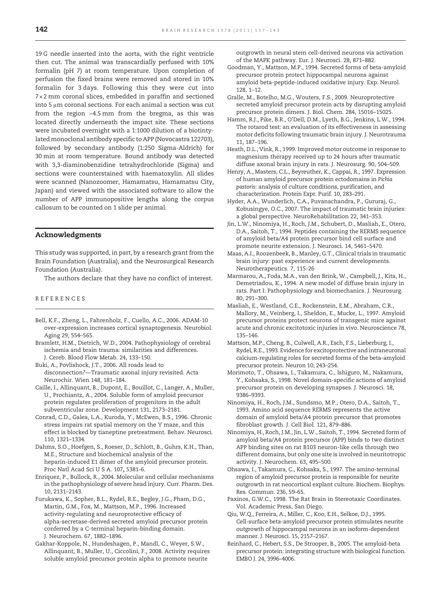<span id="page-5-0"></span>19 G needle inserted into the aorta, with the right ventricle then cut. The animal was transcardially perfused with 10% formalin (pH 7) at room temperature. Upon completion of perfusion the fixed brains were removed and stored in 10% formalin for 3 days. Following this they were cut into 7× 2 mm coronal slices, embedded in paraffin and sectioned into 5 μm coronal sections. For each animal a section was cut from the region −4.5 mm from the bregma, as this was located directly underneath the impact site. These sections were incubated overnight with a 1:1000 dilution of a biotintylated monoclonal antibody specific to APP (Novocastra 122703), followed by secondary antibody (1:250 Sigma-Aldrich) for 30 min at room temperature. Bound antibody was detected with 3,3-diaminobenzidine tetrahydrochloride (Sigma) and sections were counterstained with haematoxylin. All slides were scanned (Nanozoomer, Hamamatsu, Hamamatsu City, Japan) and viewed with the associated software to allow the number of APP immunopositive lengths along the corpus callosum to be counted on 1 slide per animal.

#### Acknowledgments

This study was supported, in part, by a research grant from the Brain Foundation (Australia), and the Neurosurgical Research Foundation (Australia).

The authors declare that they have no conflict of interest.

#### REFERENCES

- Bell, K.F., Zheng, L., Fahrenholz, F., Cuello, A.C., 2006. ADAM-10 over-expression increases cortical synaptogenesis. Neurobiol. Aging 29, 554–565.
- Bramlett, H.M., Dietrich, W.D., 2004. Pathophysiology of cerebral ischemia and brain trauma: similarities and differences. J. Cereb. Blood Flow Metab. 24, 133–150.
- Buki, A., Povlishock, J.T., 2006. All roads lead to disconnection?—Traumatic axonal injury revisited. Acta Neurochir. Wien 148, 181–184.
- Caille, I., Allinquant, B., Dupont, E., Bouillot, C., Langer, A., Muller, U., Prochiantz, A., 2004. Soluble form of amyloid precursor protein regulates proliferation of progenitors in the adult subventricular zone. Development 131, 2173–2181.
- Conrad, C.D., Galea, L.A., Kuroda, Y., McEwen, B.S., 1996. Chronic stress impairs rat spatial memory on the Y maze, and this effect is blocked by tianeptine pretreatment. Behav. Neurosci. 110, 1321–1334.
- Dahms, S.O., Hoefgen, S., Roeser, D., Schlott, B., Guhrs, K.H., Than, M.E., Structure and biochemical analysis of the heparin-induced E1 dimer of the amyloid precursor protein. Proc Natl Acad Sci U S A. 107, 5381-6.
- Enriquez, P., Bullock, R., 2004. Molecular and cellular mechanisms in the pathophysiology of severe head injury. Curr. Pharm. Des. 10, 2131–2143.
- Furukawa, K., Sopher, B.L., Rydel, R.E., Begley, J.G., Pham, D.G., Martin, G.M., Fox, M., Mattson, M.P., 1996. Increased activity-regulating and neuroprotective efficacy of alpha-secretase-derived secreted amyloid precursor protein conferred by a C-terminal heparin-binding domain. J. Neurochem. 67, 1882–1896.
- Gakhar-Koppole, N., Hundeshagen, P., Mandl, C., Weyer, S.W., Allinquant, B., Muller, U., Ciccolini, F., 2008. Activity requires soluble amyloid precursor protein alpha to promote neurite

outgrowth in neural stem cell-derived neurons via activation of the MAPK pathway. Eur. J. Neurosci. 28, 871–882.

- Goodman, Y., Mattson, M.P., 1994. Secreted forms of beta-amyloid precursor protein protect hippocampal neurons against amyloid beta-peptide-induced oxidative injury. Exp. Neurol. 128, 1–12.
- Gralle, M., Botelho, M.G., Wouters, F.S., 2009. Neuroprotective secreted amyloid precursor protein acts by disrupting amyloid precursor protein dimers. J. Biol. Chem. 284, 15016–15025.
- Hamm, R.J., Pike, B.R., O'Dell, D.M., Lyeth, B.G., Jenkins, L.W., 1994. The rotarod test: an evaluation of its effectiveness in assessing motor deficits following traumatic brain injury. J. Neurotrauma 11, 187–196.
- Heath, D.L., Vink, R., 1999. Improved motor outcome in response to magnesium therapy received up to 24 hours after traumatic diffuse axonal brain injury in rats. J. Neurosurg. 90, 504–509.
- Henry, A., Masters, C.L., Beyreuther, K., Cappai, R., 1997. Expression of human amyloid precursor protein ectodomains in Pichia pastoris: analysis of culture conditions, purification, and characterization. Protein Expr. Purif. 10, 283–291.
- Hyder, A.A., Wunderlich, C.A., Puvanachandra, P., Gururaj, G., Kobusingye, O.C., 2007. The impact of traumatic brain injuries: a global perspective. NeuroRehabilitation 22, 341–353.
- Jin, L.W., Ninomiya, H., Roch, J.M., Schubert, D., Masliah, E., Otero, D.A., Saitoh, T., 1994. Peptides containing the RERMS sequence of amyloid beta/A4 protein precursor bind cell surface and promote neurite extension. J. Neurosci. 14, 5461–5470.
- Maas, A.I., Roozenbeek, B., Manley, G.T., Clinical trials in traumatic brain injury: past experience and current developments. Neurotherapeutics. 7, 115-26
- Marmarou, A., Foda, M.A., van den Brink, W., Campbell, J., Kita, H., Demetriadou, K., 1994. A new model of diffuse brain injury in rats. Part I: Pathophysiology and biomechanics. J. Neurosurg. 80, 291–300.
- Masliah, E., Westland, C.E., Rockenstein, E.M., Abraham, C.R., Mallory, M., Veinberg, I., Sheldon, E., Mucke, L., 1997. Amyloid precursor proteins protect neurons of transgenic mice against acute and chronic excitotoxic injuries in vivo. Neuroscience 78, 135–146.
- Mattson, M.P., Cheng, B., Culwell, A.R., Esch, F.S., Lieberburg, I., Rydel, R.E., 1993. Evidence for excitoprotective and intraneuronal calcium-regulating roles for secreted forms of the beta-amyloid precursor protein. Neuron 10, 243–254.
- Morimoto, T., Ohsawa, I., Takamura, C., Ishiguro, M., Nakamura, Y., Kohsaka, S., 1998. Novel domain-specific actions of amyloid precursor protein on developing synapses. J. Neurosci. 18, 9386–9393.
- Ninomiya, H., Roch, J.M., Sundsmo, M.P., Otero, D.A., Saitoh, T., 1993. Amino acid sequence RERMS represents the active domain of amyloid beta/A4 protein precursor that promotes fibroblast growth. J. Cell Biol. 121, 879–886.
- Ninomiya, H., Roch, J.M., Jin, L.W., Saitoh, T., 1994. Secreted form of amyloid beta/A4 protein precursor (APP) binds to two distinct APP binding sites on rat B103 neuron-like cells through two different domains, but only one site is involved in neuritotropic activity. J. Neurochem. 63, 495–500.
- Ohsawa, I., Takamura, C., Kohsaka, S., 1997. The amino-terminal region of amyloid precursor protein is responsible for neurite outgrowth in rat neocortical explant culture. Biochem. Biophys. Res. Commun. 236, 59–65.
- Paxinos, G.W.C., 1998. The Rat Brain in Stereotaxic Coordinates. Vol. Academic Press, San Diego.
- Qiu, W.Q., Ferreira, A., Miller, C., Koo, E.H., Selkoe, D.J., 1995. Cell-surface beta-amyloid precursor protein stimulates neurite outgrowth of hippocampal neurons in an isoform-dependent manner. J. Neurosci. 15, 2157–2167.
- Reinhard, C., Hebert, S.S., De Strooper, B., 2005. The amyloid-beta precursor protein: integrating structure with biological function. EMBO J. 24, 3996–4006.